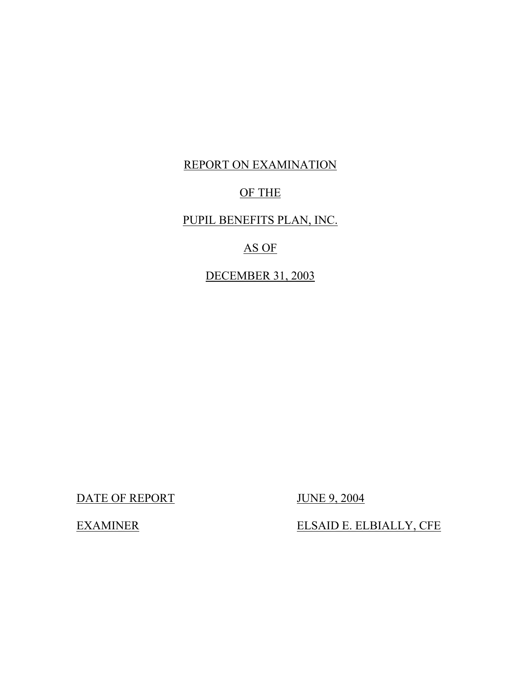### REPORT ON EXAMINATION

#### OF THE

### PUPIL BENEFITS PLAN, INC.

#### AS OF

DECEMBER 31, 2003

DATE OF REPORT JUNE 9, 2004

ELSAID E. ELBIALLY, CFE

**EXAMINER**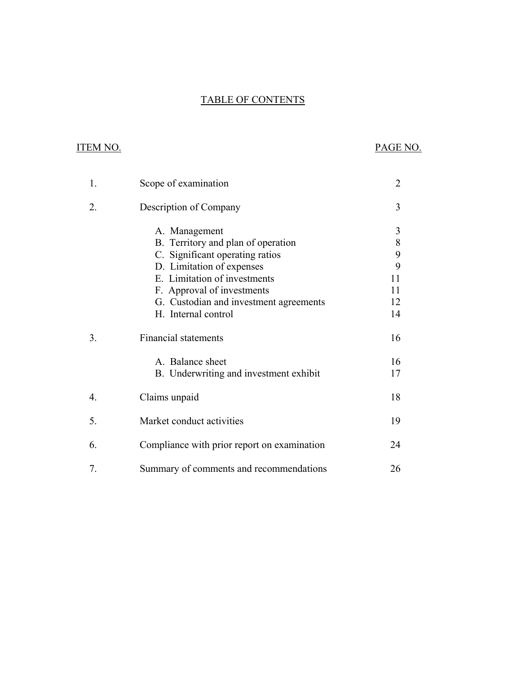# **TABLE OF CONTENTS** TABLE OF CONTENTS ITEM NO. PAGE NO.

#### **ITEM NO.**

| 1. | Scope of examination                        | 2  |
|----|---------------------------------------------|----|
| 2. | Description of Company                      | 3  |
|    | A. Management                               | 3  |
|    | B. Territory and plan of operation          | 8  |
|    | C. Significant operating ratios             | 9  |
|    | D. Limitation of expenses                   | 9  |
|    | E. Limitation of investments                | 11 |
|    | F. Approval of investments                  | 11 |
|    | G. Custodian and investment agreements      | 12 |
|    | H. Internal control                         | 14 |
| 3. | <b>Financial statements</b>                 | 16 |
|    | A. Balance sheet                            | 16 |
|    | B. Underwriting and investment exhibit      | 17 |
| 4. | Claims unpaid                               | 18 |
| 5. | Market conduct activities                   | 19 |
| 6. | Compliance with prior report on examination | 24 |
| 7. | Summary of comments and recommendations     | 26 |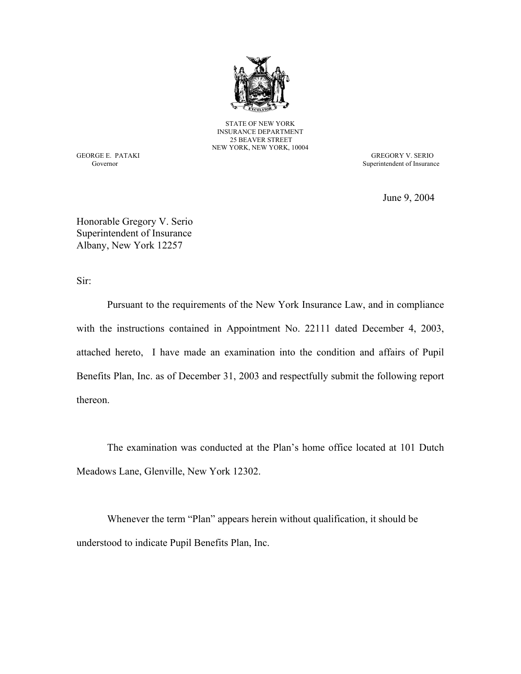

STATE OF NEW YORK INSURANCE DEPARTMENT 25 BEAVER STREET NEW YORK, NEW YORK, 10004

GEORGE E. PATAKI GREGORY V. SERIO Governor Superintendent of Insurance Superintendent of Insurance Superintendent of Insurance

June 9, 2004

Honorable Gregory V. Serio Superintendent of Insurance Albany, New York 12257

Sir:

Pursuant to the requirements of the New York Insurance Law, and in compliance with the instructions contained in Appointment No. 22111 dated December 4, 2003, attached hereto, I have made an examination into the condition and affairs of Pupil Benefits Plan, Inc. as of December 31, 2003 and respectfully submit the following report thereon.

The examination was conducted at the Plan's home office located at 101 Dutch Meadows Lane, Glenville, New York 12302.

Whenever the term "Plan" appears herein without qualification, it should be understood to indicate Pupil Benefits Plan, Inc.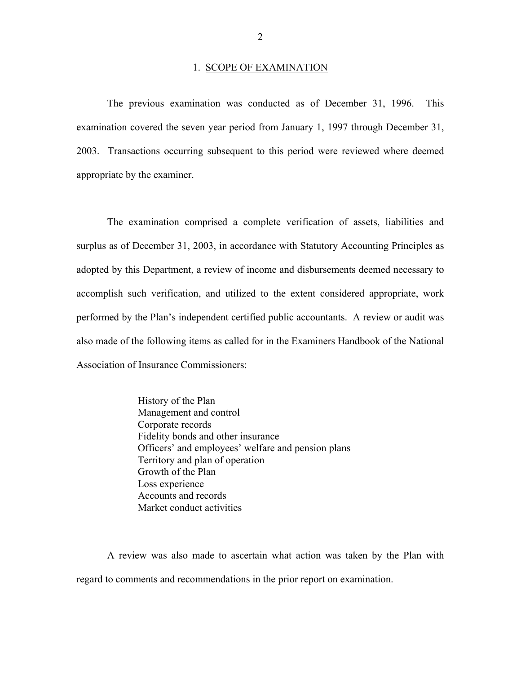#### 1. SCOPE OF EXAMINATION

<span id="page-3-0"></span>The previous examination was conducted as of December 31, 1996. This examination covered the seven year period from January 1, 1997 through December 31, 2003. Transactions occurring subsequent to this period were reviewed where deemed appropriate by the examiner.

The examination comprised a complete verification of assets, liabilities and surplus as of December 31, 2003, in accordance with Statutory Accounting Principles as adopted by this Department, a review of income and disbursements deemed necessary to accomplish such verification, and utilized to the extent considered appropriate, work performed by the Plan's independent certified public accountants. A review or audit was also made of the following items as called for in the Examiners Handbook of the National Association of Insurance Commissioners:

> History of the Plan Management and control Corporate records Fidelity bonds and other insurance Officers' and employees' welfare and pension plans Territory and plan of operation Growth of the Plan Loss experience Accounts and records Market conduct activities

A review was also made to ascertain what action was taken by the Plan with regard to comments and recommendations in the prior report on examination.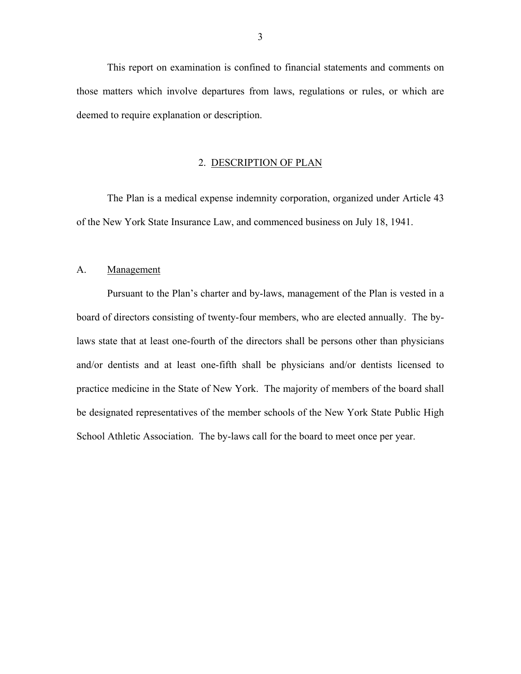<span id="page-4-0"></span>This report on examination is confined to financial statements and comments on those matters which involve departures from laws, regulations or rules, or which are deemed to require explanation or description.

#### 2. DESCRIPTION OF PLAN

The Plan is a medical expense indemnity corporation, organized under Article 43 of the New York State Insurance Law, and commenced business on July 18, 1941.

#### A. Management

Pursuant to the Plan's charter and by-laws, management of the Plan is vested in a board of directors consisting of twenty-four members, who are elected annually. The bylaws state that at least one-fourth of the directors shall be persons other than physicians and/or dentists and at least one-fifth shall be physicians and/or dentists licensed to practice medicine in the State of New York. The majority of members of the board shall be designated representatives of the member schools of the New York State Public High School Athletic Association. The by-laws call for the board to meet once per year.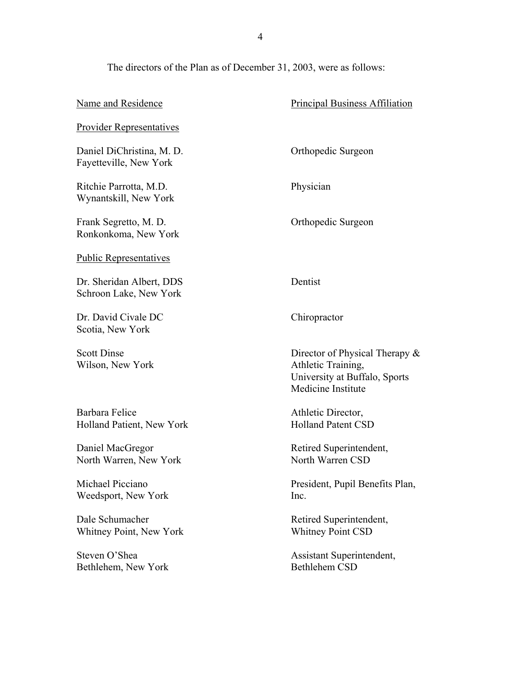The directors of the Plan as of December 31, 2003, were as follows:

| Name and Residence                                  | <b>Principal Business Affiliation</b>                                                                       |
|-----------------------------------------------------|-------------------------------------------------------------------------------------------------------------|
| <b>Provider Representatives</b>                     |                                                                                                             |
| Daniel DiChristina, M. D.<br>Fayetteville, New York | Orthopedic Surgeon                                                                                          |
| Ritchie Parrotta, M.D.<br>Wynantskill, New York     | Physician                                                                                                   |
| Frank Segretto, M. D.<br>Ronkonkoma, New York       | Orthopedic Surgeon                                                                                          |
| <b>Public Representatives</b>                       |                                                                                                             |
| Dr. Sheridan Albert, DDS<br>Schroon Lake, New York  | Dentist                                                                                                     |
| Dr. David Civale DC<br>Scotia, New York             | Chiropractor                                                                                                |
|                                                     |                                                                                                             |
| <b>Scott Dinse</b><br>Wilson, New York              | Director of Physical Therapy &<br>Athletic Training,<br>University at Buffalo, Sports<br>Medicine Institute |
| Barbara Felice<br>Holland Patient, New York         | Athletic Director,<br><b>Holland Patent CSD</b>                                                             |
| Daniel MacGregor<br>North Warren, New York          | Retired Superintendent,<br>North Warren CSD                                                                 |
| Michael Picciano<br>Weedsport, New York             | President, Pupil Benefits Plan,<br>Inc.                                                                     |
| Dale Schumacher<br><b>Whitney Point, New York</b>   | Retired Superintendent,<br><b>Whitney Point CSD</b>                                                         |
| Steven O'Shea<br>Bethlehem, New York                | Assistant Superintendent,<br><b>Bethlehem CSD</b>                                                           |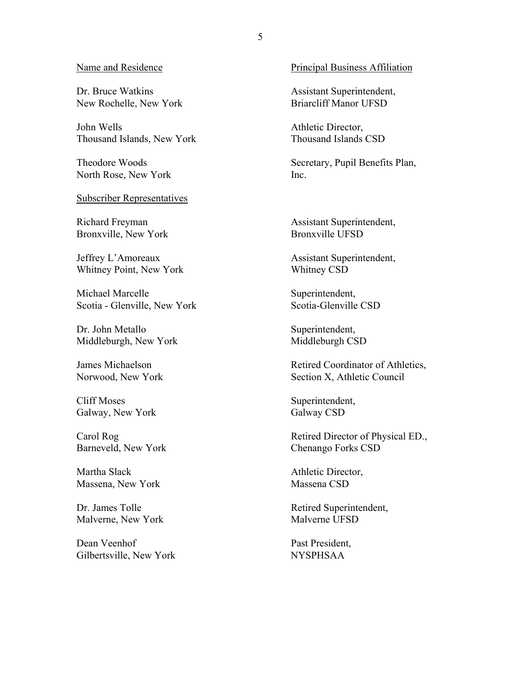Dr. Bruce Watkins New Rochelle, New York

John Wells Thousand Islands, New York

Theodore Woods North Rose, New York

Subscriber Representatives

Richard Freyman Bronxville, New York

Jeffrey L'Amoreaux Whitney Point, New York

Michael Marcelle Scotia - Glenville, New York

Dr. John Metallo Middleburgh, New York

James Michaelson Norwood, New York

Cliff Moses Galway, New York

Carol Rog Barneveld, New York

Martha Slack Massena, New York

Dr. James Tolle Malverne, New York

Dean Veenhof Gilbertsville, New York

Name and Residence **Principal Business Affiliation** 

 Assistant Superintendent, Briarcliff Manor UFSD

 Athletic Director, Thousand Islands CSD

Secretary, Pupil Benefits Plan, Inc.

 Assistant Superintendent, Bronxville UFSD

 Assistant Superintendent, Whitney CSD

Superintendent, Scotia-Glenville CSD

Superintendent, Middleburgh CSD

 Retired Coordinator of Athletics, Section X, Athletic Council

Superintendent, Galway CSD

 Retired Director of Physical ED., Chenango Forks CSD

 Athletic Director, Massena CSD

 Retired Superintendent, Malverne UFSD

 Past President, NYSPHSAA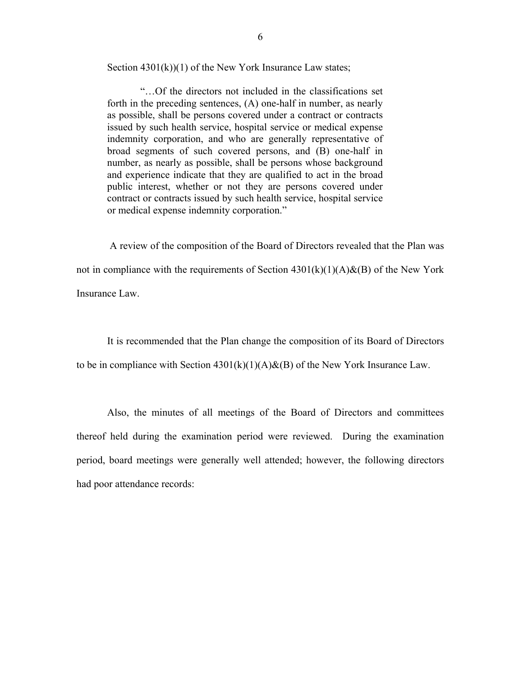Section  $4301(k)(1)$  of the New York Insurance Law states;

"…Of the directors not included in the classifications set forth in the preceding sentences, (A) one-half in number, as nearly as possible, shall be persons covered under a contract or contracts issued by such health service, hospital service or medical expense indemnity corporation, and who are generally representative of broad segments of such covered persons, and (B) one-half in number, as nearly as possible, shall be persons whose background and experience indicate that they are qualified to act in the broad public interest, whether or not they are persons covered under contract or contracts issued by such health service, hospital service or medical expense indemnity corporation."

A review of the composition of the Board of Directors revealed that the Plan was not in compliance with the requirements of Section  $4301(k)(1)(A) & (B)$  of the New York Insurance Law.

It is recommended that the Plan change the composition of its Board of Directors to be in compliance with Section  $4301(k)(1)(A) & (B)$  of the New York Insurance Law.

Also, the minutes of all meetings of the Board of Directors and committees thereof held during the examination period were reviewed. During the examination period, board meetings were generally well attended; however, the following directors had poor attendance records: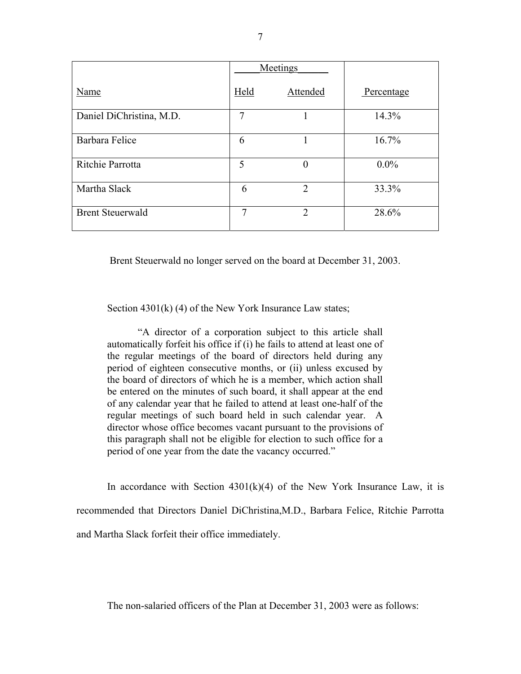|                          | Meetings |                |            |
|--------------------------|----------|----------------|------------|
| Name                     | Held     | Attended       | Percentage |
| Daniel DiChristina, M.D. | 7        |                | 14.3%      |
| Barbara Felice           | 6        |                | 16.7%      |
| Ritchie Parrotta         | 5        | $\overline{0}$ | $0.0\%$    |
| Martha Slack             | 6        | $\overline{2}$ | 33.3%      |
| <b>Brent Steuerwald</b>  | 7        | $\overline{2}$ | 28.6%      |

Brent Steuerwald no longer served on the board at December 31, 2003.

Section 4301(k) (4) of the New York Insurance Law states;

"A director of a corporation subject to this article shall automatically forfeit his office if (i) he fails to attend at least one of the regular meetings of the board of directors held during any period of eighteen consecutive months, or (ii) unless excused by the board of directors of which he is a member, which action shall be entered on the minutes of such board, it shall appear at the end of any calendar year that he failed to attend at least one-half of the regular meetings of such board held in such calendar year. A director whose office becomes vacant pursuant to the provisions of this paragraph shall not be eligible for election to such office for a period of one year from the date the vacancy occurred."

In accordance with Section  $4301(k)(4)$  of the New York Insurance Law, it is recommended that Directors Daniel DiChristina,M.D., Barbara Felice, Ritchie Parrotta and Martha Slack forfeit their office immediately.

The non-salaried officers of the Plan at December 31, 2003 were as follows: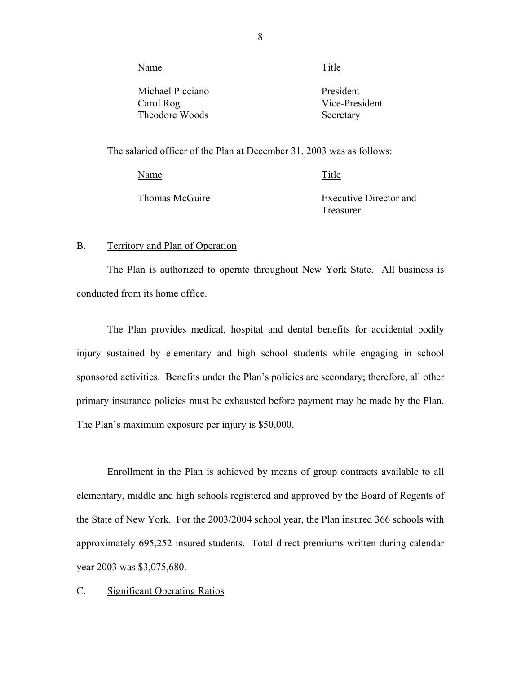<span id="page-9-0"></span>

| Name             | Title          |
|------------------|----------------|
| Michael Picciano | President      |
| Carol Rog        | Vice-President |
| Theodore Woods   | Secretary      |

The salaried officer of the Plan at December 31, 2003 was as follows:

| Name           | Title                         |
|----------------|-------------------------------|
| Thomas McGuire | <b>Executive Director and</b> |
|                | Treasurer                     |

#### B. Territory and Plan of Operation

The Plan is authorized to operate throughout New York State. All business is conducted from its home office.

The Plan provides medical, hospital and dental benefits for accidental bodily injury sustained by elementary and high school students while engaging in school sponsored activities. Benefits under the Plan's policies are secondary; therefore, all other primary insurance policies must be exhausted before payment may be made by the Plan. The Plan's maximum exposure per injury is \$50,000.

Enrollment in the Plan is achieved by means of group contracts available to all elementary, middle and high schools registered and approved by the Board of Regents of the State of New York. For the 2003/2004 school year, the Plan insured 366 schools with approximately 695,252 insured students. Total direct premiums written during calendar year 2003 was \$3,075,680.

#### C. Significant Operating Ratios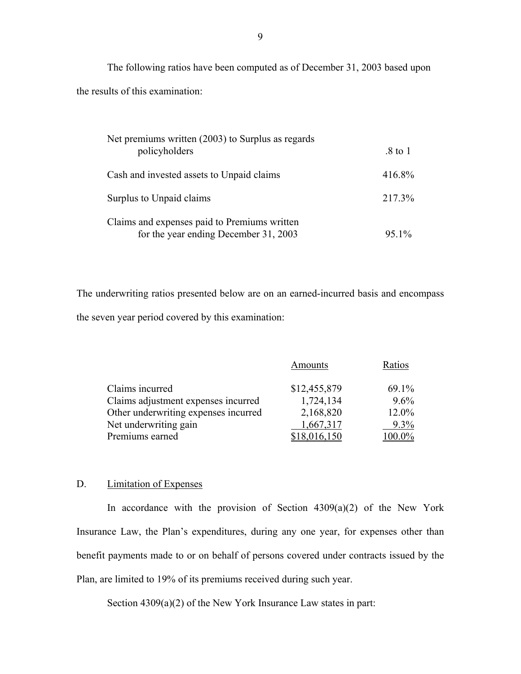The following ratios have been computed as of December 31, 2003 based upon the results of this examination:

| Net premiums written (2003) to Surplus as regards<br>policyholders                    | $.8 \text{ to } 1$ |
|---------------------------------------------------------------------------------------|--------------------|
| Cash and invested assets to Unpaid claims                                             | 416.8%             |
| Surplus to Unpaid claims                                                              | 217.3%             |
| Claims and expenses paid to Premiums written<br>for the year ending December 31, 2003 | 95.1%              |

The underwriting ratios presented below are on an earned-incurred basis and encompass the seven year period covered by this examination:

|                                      | Amounts      | Ratios |
|--------------------------------------|--------------|--------|
| Claims incurred                      | \$12,455,879 | 69.1%  |
| Claims adjustment expenses incurred  | 1,724,134    | 9.6%   |
| Other underwriting expenses incurred | 2,168,820    | 12.0%  |
| Net underwriting gain                | 1,667,317    | 9.3%   |
| Premiums earned                      |              |        |

#### D. Limitation of Expenses

In accordance with the provision of Section  $4309(a)(2)$  of the New York Insurance Law, the Plan's expenditures, during any one year, for expenses other than benefit payments made to or on behalf of persons covered under contracts issued by the Plan, are limited to 19% of its premiums received during such year.

Section 4309(a)(2) of the New York Insurance Law states in part: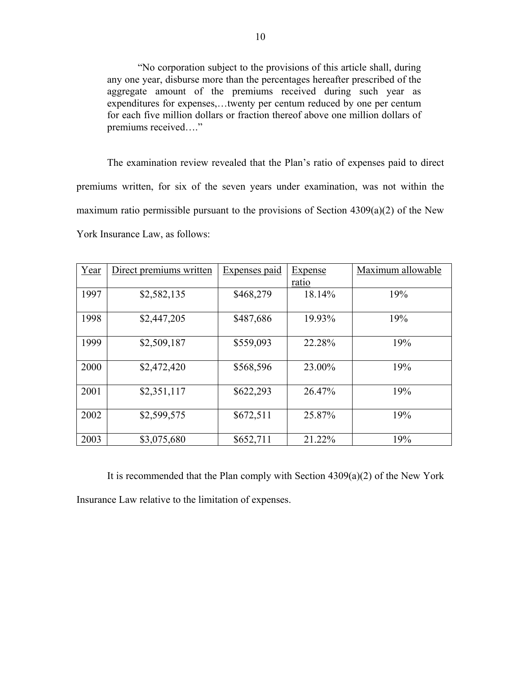"No corporation subject to the provisions of this article shall, during any one year, disburse more than the percentages hereafter prescribed of the aggregate amount of the premiums received during such year as expenditures for expenses,…twenty per centum reduced by one per centum for each five million dollars or fraction thereof above one million dollars of premiums received…."

The examination review revealed that the Plan's ratio of expenses paid to direct premiums written, for six of the seven years under examination, was not within the maximum ratio permissible pursuant to the provisions of Section 4309(a)(2) of the New York Insurance Law, as follows:

| Year | Direct premiums written | <b>Expenses</b> paid | <b>Expense</b> | Maximum allowable |
|------|-------------------------|----------------------|----------------|-------------------|
|      |                         |                      | ratio          |                   |
| 1997 | \$2,582,135             | \$468,279            | 18.14%         | 19%               |
| 1998 | \$2,447,205             | \$487,686            | 19.93%         | 19%               |
| 1999 | \$2,509,187             | \$559,093            | 22.28%         | 19%               |
| 2000 | \$2,472,420             | \$568,596            | 23.00%         | 19%               |
| 2001 | \$2,351,117             | \$622,293            | 26.47%         | 19%               |
| 2002 | \$2,599,575             | \$672,511            | 25.87%         | 19%               |
| 2003 | \$3,075,680             | \$652,711            | 21.22%         | 19%               |

It is recommended that the Plan comply with Section 4309(a)(2) of the New York Insurance Law relative to the limitation of expenses.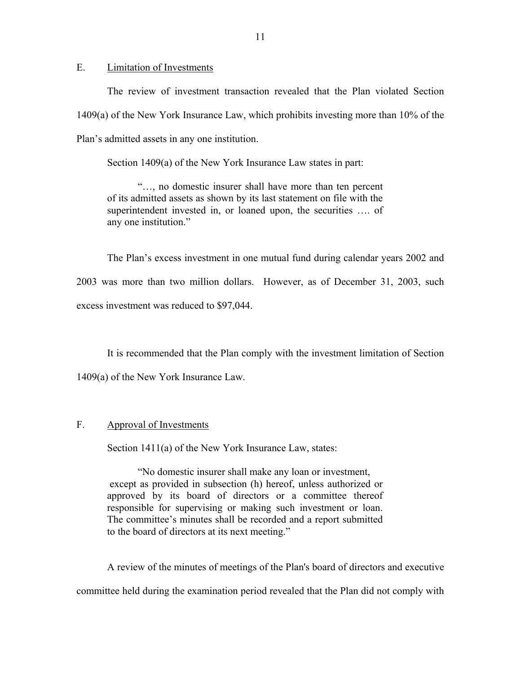<span id="page-12-0"></span>E. Limitation of Investments

The review of investment transaction revealed that the Plan violated Section 1409(a) of the New York Insurance Law, which prohibits investing more than 10% of the Plan's admitted assets in any one institution.

Section 1409(a) of the New York Insurance Law states in part:

"…, no domestic insurer shall have more than ten percent of its admitted assets as shown by its last statement on file with the superintendent invested in, or loaned upon, the securities …. of any one institution."

The Plan's excess investment in one mutual fund during calendar years 2002 and 2003 was more than two million dollars. However, as of December 31, 2003, such excess investment was reduced to \$97,044.

It is recommended that the Plan comply with the investment limitation of Section 1409(a) of the New York Insurance Law.

#### Approval of Investments

F. Approval of Investments<br>Section 1411(a) of the New York Insurance Law, states:

"No domestic insurer shall make any loan or investment, except as provided in subsection (h) hereof, unless authorized or approved by its board of directors or a committee thereof responsible for supervising or making such investment or loan. The committee's minutes shall be recorded and a report submitted to the board of directors at its next meeting."

A review of the minutes of meetings of the Plan's board of directors and executive committee held during the examination period revealed that the Plan did not comply with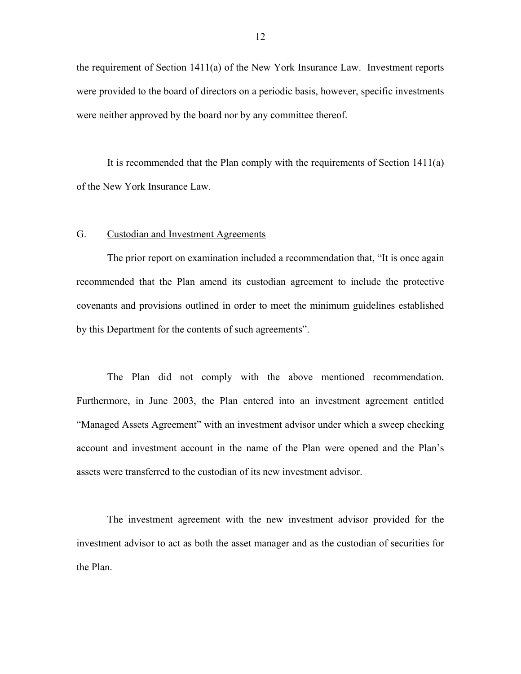<span id="page-13-0"></span>the requirement of Section  $1411(a)$  of the New York Insurance Law. Investment reports were provided to the board of directors on a periodic basis, however, specific investments were neither approved by the board nor by any committee thereof.

It is recommended that the Plan comply with the requirements of Section 1411(a) of the New York Insurance Law.

#### G. Custodian and Investment Agreements

The prior report on examination included a recommendation that, "It is once again recommended that the Plan amend its custodian agreement to include the protective covenants and provisions outlined in order to meet the minimum guidelines established by this Department for the contents of such agreements".

The Plan did not comply with the above mentioned recommendation. Furthermore, in June 2003, the Plan entered into an investment agreement entitled "Managed Assets Agreement" with an investment advisor under which a sweep checking account and investment account in the name of the Plan were opened and the Plan's assets were transferred to the custodian of its new investment advisor.

The investment agreement with the new investment advisor provided for the investment advisor to act as both the asset manager and as the custodian of securities for the Plan.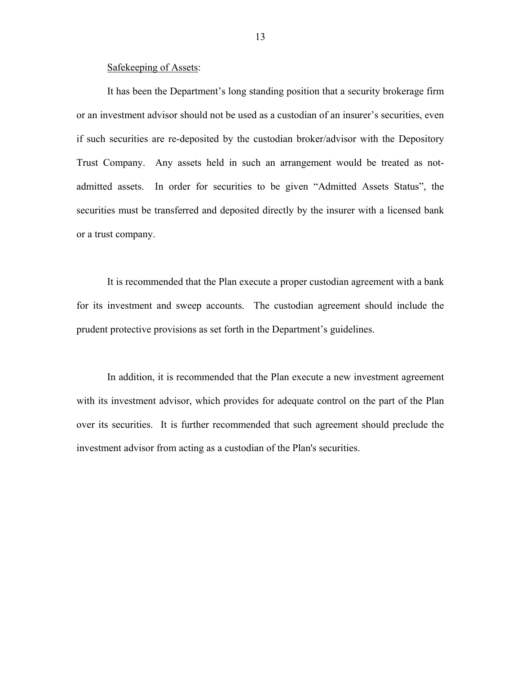#### Safekeeping of Assets:

It has been the Department's long standing position that a security brokerage firm or an investment advisor should not be used as a custodian of an insurer's securities, even if such securities are re-deposited by the custodian broker/advisor with the Depository Trust Company. Any assets held in such an arrangement would be treated as notadmitted assets. In order for securities to be given "Admitted Assets Status", the securities must be transferred and deposited directly by the insurer with a licensed bank or a trust company.

It is recommended that the Plan execute a proper custodian agreement with a bank for its investment and sweep accounts. The custodian agreement should include the prudent protective provisions as set forth in the Department's guidelines.

In addition, it is recommended that the Plan execute a new investment agreement with its investment advisor, which provides for adequate control on the part of the Plan over its securities. It is further recommended that such agreement should preclude the investment advisor from acting as a custodian of the Plan's securities.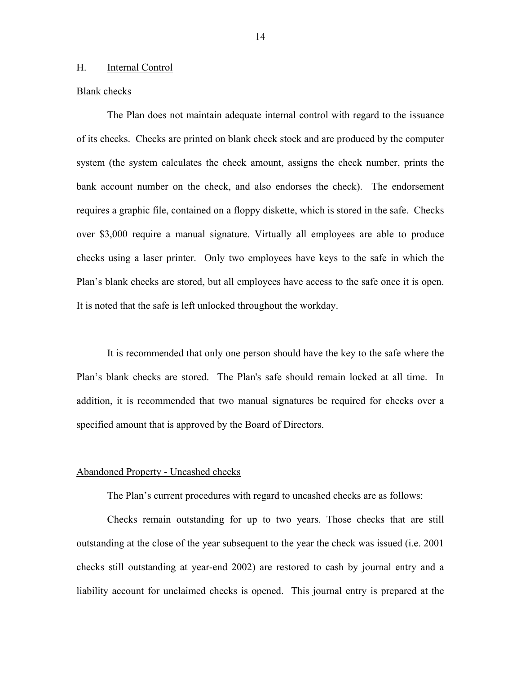#### <span id="page-15-0"></span>H. Internal Control

#### Blank checks

The Plan does not maintain adequate internal control with regard to the issuance of its checks. Checks are printed on blank check stock and are produced by the computer system (the system calculates the check amount, assigns the check number, prints the bank account number on the check, and also endorses the check). The endorsement requires a graphic file, contained on a floppy diskette, which is stored in the safe. Checks over \$3,000 require a manual signature. Virtually all employees are able to produce checks using a laser printer. Only two employees have keys to the safe in which the Plan's blank checks are stored, but all employees have access to the safe once it is open. It is noted that the safe is left unlocked throughout the workday.

It is recommended that only one person should have the key to the safe where the Plan's blank checks are stored. The Plan's safe should remain locked at all time. In addition, it is recommended that two manual signatures be required for checks over a specified amount that is approved by the Board of Directors.

#### Abandoned Property - Uncashed checks

The Plan's current procedures with regard to uncashed checks are as follows:

Checks remain outstanding for up to two years. Those checks that are still outstanding at the close of the year subsequent to the year the check was issued (i.e. 2001 checks still outstanding at year-end 2002) are restored to cash by journal entry and a liability account for unclaimed checks is opened. This journal entry is prepared at the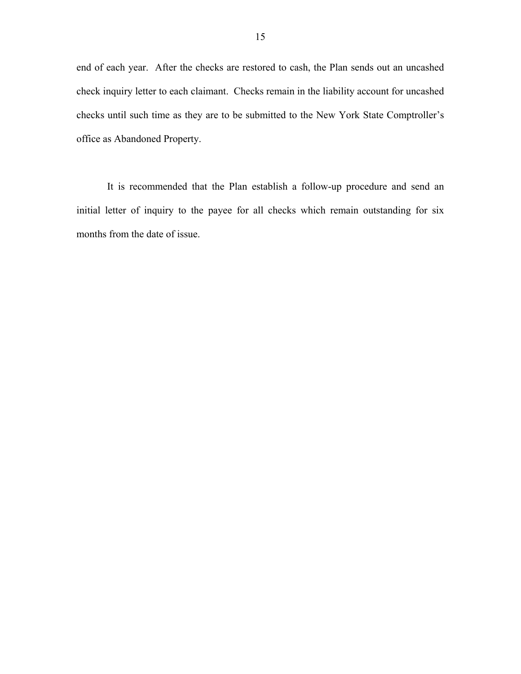end of each year. After the checks are restored to cash, the Plan sends out an uncashed check inquiry letter to each claimant. Checks remain in the liability account for uncashed checks until such time as they are to be submitted to the New York State Comptroller's office as Abandoned Property.

It is recommended that the Plan establish a follow-up procedure and send an initial letter of inquiry to the payee for all checks which remain outstanding for six months from the date of issue.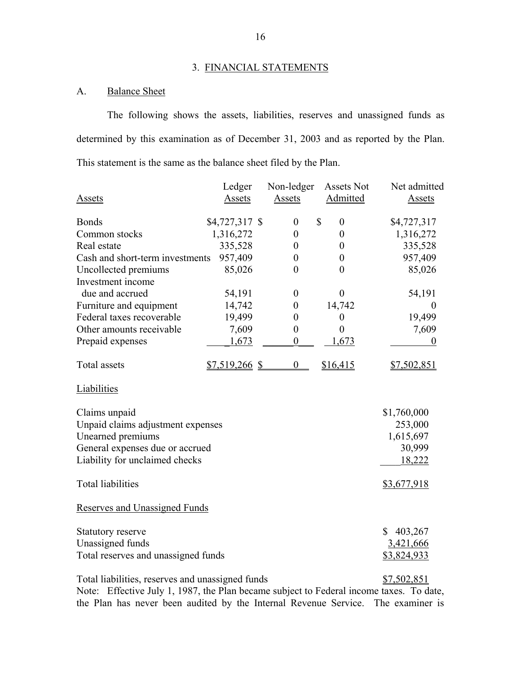#### 3. FINANCIAL STATEMENTS

#### A. Balance Sheet

The following shows the assets, liabilities, reserves and unassigned funds as determined by this examination as of December 31, 2003 and as reported by the Plan. This statement is the same as the balance sheet filed by the Plan.

| <b>Assets</b>                                    | Ledger<br>Assets | Non-ledger<br>Assets | Assets Not<br>Admitted   | Net admitted<br>Assets |
|--------------------------------------------------|------------------|----------------------|--------------------------|------------------------|
| <b>Bonds</b>                                     | \$4,727,317 \$   | $\boldsymbol{0}$     | $\mathbb{S}$<br>$\theta$ | \$4,727,317            |
| Common stocks                                    | 1,316,272        | $\boldsymbol{0}$     | $\boldsymbol{0}$         | 1,316,272              |
| Real estate                                      | 335,528          | $\boldsymbol{0}$     | $\theta$                 | 335,528                |
| Cash and short-term investments                  | 957,409          | $\boldsymbol{0}$     | $\boldsymbol{0}$         | 957,409                |
| Uncollected premiums                             | 85,026           | $\overline{0}$       | $\overline{0}$           | 85,026                 |
| Investment income                                |                  |                      |                          |                        |
| due and accrued                                  | 54,191           | $\boldsymbol{0}$     | $\boldsymbol{0}$         | 54,191                 |
| Furniture and equipment                          | 14,742           | $\boldsymbol{0}$     | 14,742                   | $\theta$               |
| Federal taxes recoverable                        | 19,499           | $\boldsymbol{0}$     | $\boldsymbol{0}$         | 19,499                 |
| Other amounts receivable                         | 7,609            | $\boldsymbol{0}$     | $\boldsymbol{0}$         | 7,609                  |
| Prepaid expenses                                 | 1,673            | $\boldsymbol{0}$     | 1,673                    | $\boldsymbol{0}$       |
| <b>Total</b> assets                              | $$7,519,266$ \$  | $\boldsymbol{0}$     | \$16,415                 | \$7,502,851            |
| Liabilities                                      |                  |                      |                          |                        |
| Claims unpaid                                    |                  |                      |                          | \$1,760,000            |
| Unpaid claims adjustment expenses                |                  |                      |                          | 253,000                |
| Unearned premiums                                |                  |                      |                          | 1,615,697              |
| General expenses due or accrued                  |                  |                      |                          | 30,999                 |
| Liability for unclaimed checks                   |                  |                      |                          | 18,222                 |
| <b>Total liabilities</b>                         |                  |                      |                          | \$3,677,918            |
| <b>Reserves and Unassigned Funds</b>             |                  |                      |                          |                        |
| Statutory reserve                                |                  |                      |                          | 403,267<br>\$          |
| Unassigned funds                                 |                  |                      |                          | 3,421,666              |
| Total reserves and unassigned funds              |                  |                      |                          | \$3,824,933            |
| Total liabilities, reserves and unassigned funds |                  |                      |                          | \$7,502,851            |

Note: Effective July 1, 1987, the Plan became subject to Federal income taxes. To date, the Plan has never been audited by the Internal Revenue Service. The examiner is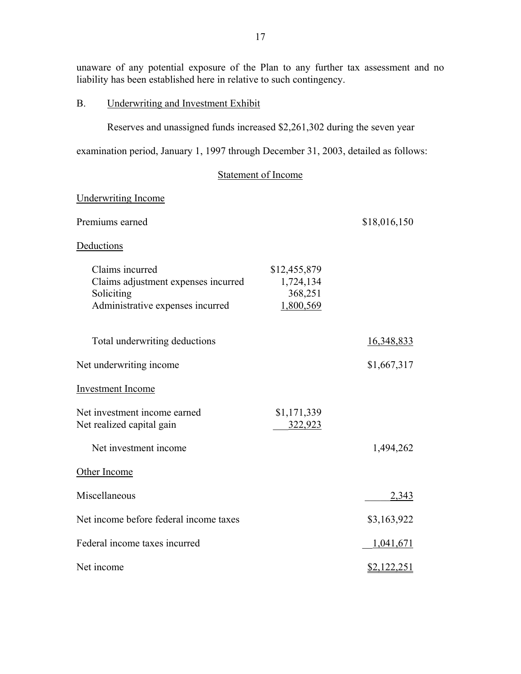<span id="page-18-0"></span>unaware of any potential exposure of the Plan to any further tax assessment and no liability has been established here in relative to such contingency.

#### B. Underwriting and Investment Exhibit

Reserves and unassigned funds increased \$2,261,302 during the seven year

examination period, January 1, 1997 through December 31, 2003, detailed as follows:

Statement of Income

#### Underwriting Income Premiums earned Deductions Claims incurred Claims adjustment expenses incurred **Soliciting** Administrative expenses incurred Total underwriting deductions Net underwriting income Investment Income Net investment income earned Net realized capital gain Net investment income Other Income **Miscellaneous** Net income before federal income taxes Federal income taxes incurred Net income \$18,016,150 \$12,455,879 1,724,134 368,251 1,800,569 16,348,833 \$1,667,317 \$1,171,339 \_\_\_322,923 1,494,262 \_\_\_\_\_2,343 \$3,163,922 \_\_1,041,671 \$2,122,251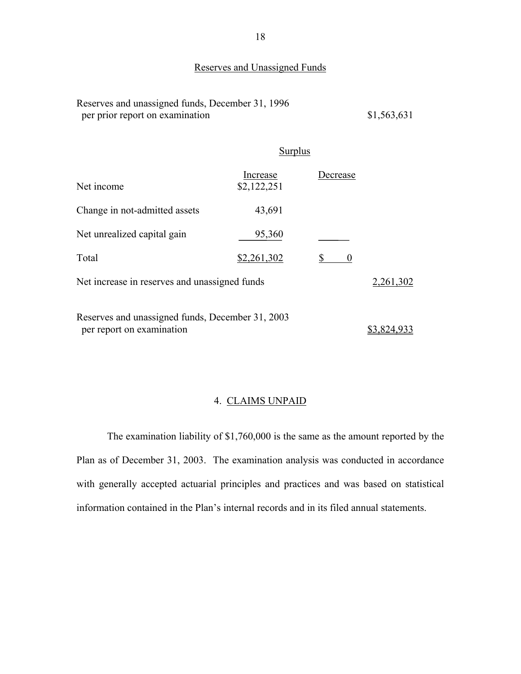#### Reserves and Unassigned Funds

| Reserves and unassigned funds, December 31, 1996 |             |
|--------------------------------------------------|-------------|
| per prior report on examination                  | \$1,563,631 |

#### **Surplus**

| Reserves and unassigned funds, December 31, 1996<br>per prior report on examination |                         |          | \$1,563,631 |
|-------------------------------------------------------------------------------------|-------------------------|----------|-------------|
|                                                                                     | <b>Surplus</b>          |          |             |
| Net income                                                                          | Increase<br>\$2,122,251 | Decrease |             |
| Change in not-admitted assets                                                       | 43,691                  |          |             |
| Net unrealized capital gain                                                         | 95,360                  |          |             |
| Total                                                                               | \$2,261,302             | 0        |             |
| Net increase in reserves and unassigned funds                                       |                         |          | 2,261,302   |
| Reserves and unassigned funds, December 31, 2003<br>per report on examination       |                         |          | \$3,824,933 |

#### 4. CLAIMS UNPAID

The examination liability of \$1,760,000 is the same as the amount reported by the Plan as of December 31, 2003. The examination analysis was conducted in accordance with generally accepted actuarial principles and practices and was based on statistical information contained in the Plan's internal records and in its filed annual statements.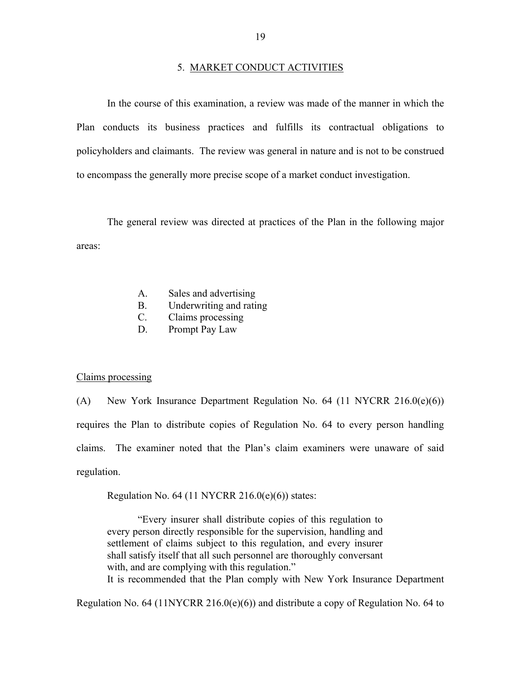<span id="page-20-0"></span>In the course of this examination, a review was made of the manner in which the Plan conducts its business practices and fulfills its contractual obligations to policyholders and claimants. The review was general in nature and is not to be construed to encompass the generally more precise scope of a market conduct investigation.

The general review was directed at practices of the Plan in the following major areas:

- A. Sales and advertising
- B. Underwriting and rating
- $C_{\cdot}$ Claims processing
- D. Prompt Pay Law

#### Claims processing

(A) New York Insurance Department Regulation No. 64 (11 NYCRR 216.0(e)(6)) requires the Plan to distribute copies of Regulation No. 64 to every person handling claims. The examiner noted that the Plan's claim examiners were unaware of said regulation.

Regulation No.  $64$  (11 NYCRR 216.0(e)(6)) states:

"Every insurer shall distribute copies of this regulation to every person directly responsible for the supervision, handling and settlement of claims subject to this regulation, and every insurer shall satisfy itself that all such personnel are thoroughly conversant with, and are complying with this regulation."

It is recommended that the Plan comply with New York Insurance Department

Regulation No. 64 (11NYCRR 216.0(e)(6)) and distribute a copy of Regulation No. 64 to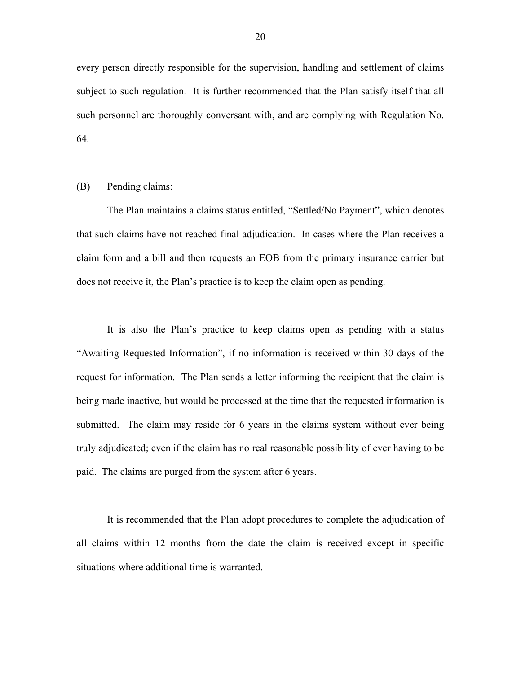every person directly responsible for the supervision, handling and settlement of claims subject to such regulation. It is further recommended that the Plan satisfy itself that all such personnel are thoroughly conversant with, and are complying with Regulation No. 64.

#### (B) Pending claims:

The Plan maintains a claims status entitled, "Settled/No Payment", which denotes that such claims have not reached final adjudication. In cases where the Plan receives a claim form and a bill and then requests an EOB from the primary insurance carrier but does not receive it, the Plan's practice is to keep the claim open as pending.

It is also the Plan's practice to keep claims open as pending with a status "Awaiting Requested Information", if no information is received within 30 days of the request for information. The Plan sends a letter informing the recipient that the claim is being made inactive, but would be processed at the time that the requested information is submitted. The claim may reside for 6 years in the claims system without ever being truly adjudicated; even if the claim has no real reasonable possibility of ever having to be paid. The claims are purged from the system after 6 years.

It is recommended that the Plan adopt procedures to complete the adjudication of all claims within 12 months from the date the claim is received except in specific situations where additional time is warranted.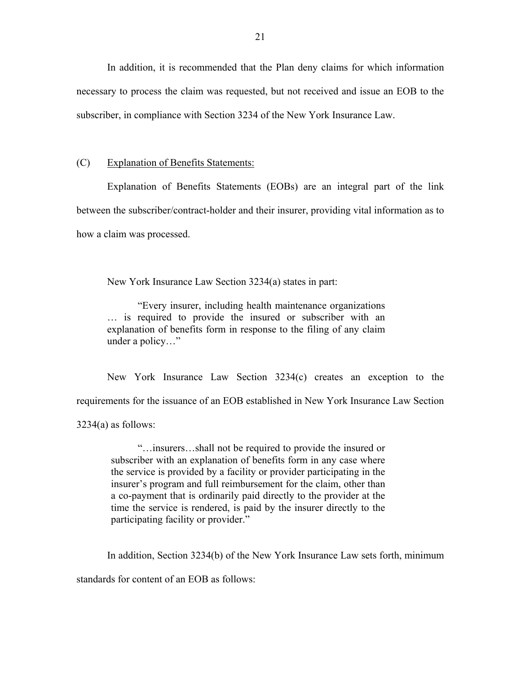In addition, it is recommended that the Plan deny claims for which information necessary to process the claim was requested, but not received and issue an EOB to the subscriber, in compliance with Section 3234 of the New York Insurance Law.

#### (C) Explanation of Benefits Statements:

Explanation of Benefits Statements (EOBs) are an integral part of the link between the subscriber/contract-holder and their insurer, providing vital information as to how a claim was processed.

New York Insurance Law Section 3234(a) states in part:

"Every insurer, including health maintenance organizations … is required to provide the insured or subscriber with an explanation of benefits form in response to the filing of any claim under a policy…"

New York Insurance Law Section 3234(c) creates an exception to the requirements for the issuance of an EOB established in New York Insurance Law Section  $3234(a)$  as follows:

"…insurers…shall not be required to provide the insured or subscriber with an explanation of benefits form in any case where the service is provided by a facility or provider participating in the insurer's program and full reimbursement for the claim, other than a co-payment that is ordinarily paid directly to the provider at the time the service is rendered, is paid by the insurer directly to the participating facility or provider."

In addition, Section 3234(b) of the New York Insurance Law sets forth, minimum

standards for content of an EOB as follows: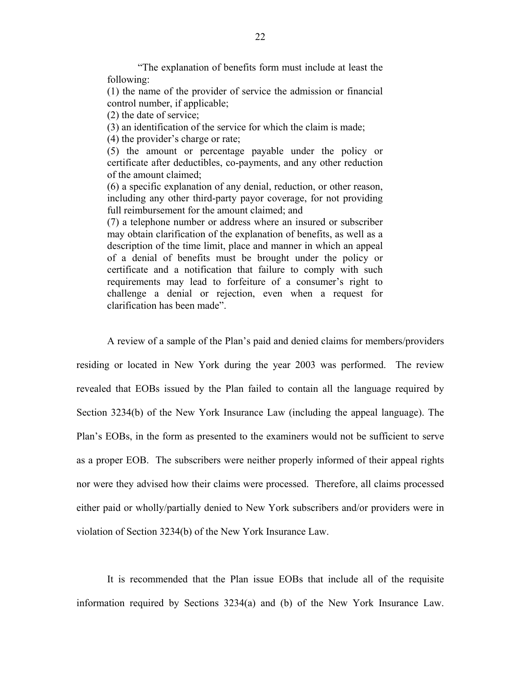"The explanation of benefits form must include at least the following:

(1) the name of the provider of service the admission or financial control number, if applicable;

(2) the date of service;

(3) an identification of the service for which the claim is made;

(4) the provider's charge or rate;

(5) the amount or percentage payable under the policy or certificate after deductibles, co-payments, and any other reduction of the amount claimed;

(6) a specific explanation of any denial, reduction, or other reason, including any other third-party payor coverage, for not providing full reimbursement for the amount claimed; and

(7) a telephone number or address where an insured or subscriber may obtain clarification of the explanation of benefits, as well as a description of the time limit, place and manner in which an appeal of a denial of benefits must be brought under the policy or certificate and a notification that failure to comply with such requirements may lead to forfeiture of a consumer's right to challenge a denial or rejection, even when a request for clarification has been made".

A review of a sample of the Plan's paid and denied claims for members/providers residing or located in New York during the year 2003 was performed. The review revealed that EOBs issued by the Plan failed to contain all the language required by Section 3234(b) of the New York Insurance Law (including the appeal language). The Plan's EOBs, in the form as presented to the examiners would not be sufficient to serve as a proper EOB. The subscribers were neither properly informed of their appeal rights nor were they advised how their claims were processed. Therefore, all claims processed either paid or wholly/partially denied to New York subscribers and/or providers were in violation of Section 3234(b) of the New York Insurance Law.

It is recommended that the Plan issue EOBs that include all of the requisite information required by Sections 3234(a) and (b) of the New York Insurance Law.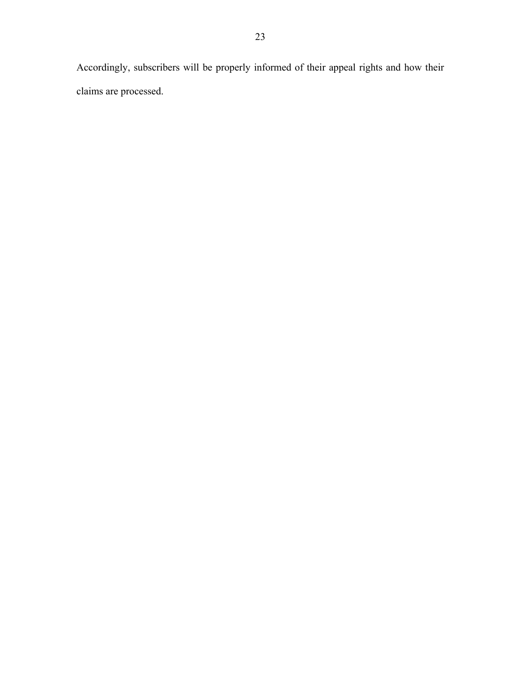Accordingly, subscribers will be properly informed of their appeal rights and how their claims are processed.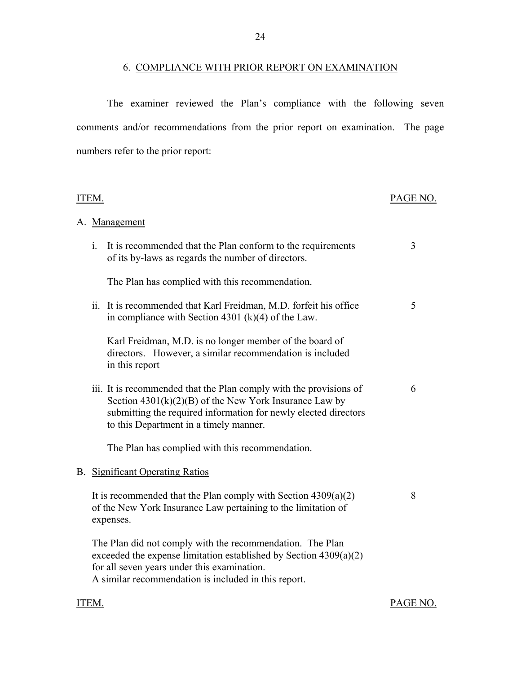#### 6. COMPLIANCE WITH PRIOR REPORT ON EXAMINATION

The examiner reviewed the Plan's compliance with the following seven comments and/or recommendations from the prior report on examination. The page numbers refer to the prior report:

| ITEM.          |                                                                                                                                                                                                                                             |   |
|----------------|---------------------------------------------------------------------------------------------------------------------------------------------------------------------------------------------------------------------------------------------|---|
|                | A. Management                                                                                                                                                                                                                               |   |
| $\mathbf{i}$ . | It is recommended that the Plan conform to the requirements<br>of its by-laws as regards the number of directors.                                                                                                                           | 3 |
|                | The Plan has complied with this recommendation.                                                                                                                                                                                             |   |
|                | ii. It is recommended that Karl Freidman, M.D. forfeit his office<br>in compliance with Section 4301 (k)(4) of the Law.                                                                                                                     | 5 |
|                | Karl Freidman, M.D. is no longer member of the board of<br>directors. However, a similar recommendation is included<br>in this report                                                                                                       |   |
|                | iii. It is recommended that the Plan comply with the provisions of<br>Section $4301(k)(2)(B)$ of the New York Insurance Law by<br>submitting the required information for newly elected directors<br>to this Department in a timely manner. | 6 |
|                | The Plan has complied with this recommendation.                                                                                                                                                                                             |   |
|                | <b>B.</b> Significant Operating Ratios                                                                                                                                                                                                      |   |
|                | It is recommended that the Plan comply with Section $4309(a)(2)$<br>of the New York Insurance Law pertaining to the limitation of<br>expenses.                                                                                              | 8 |
|                | The Plan did not comply with the recommendation. The Plan<br>exceeded the expense limitation established by Section 4309(a)(2)<br>for all seven years under this examination.<br>A similar recommendation is included in this report.       |   |

ITEM. PAGE NO.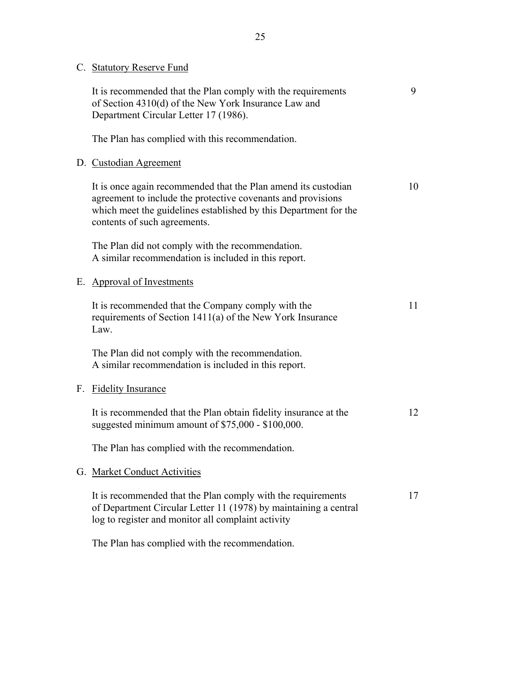| C. Statutory Reserve Fund |
|---------------------------|
|---------------------------|

|    | It is recommended that the Plan comply with the requirements<br>of Section 4310(d) of the New York Insurance Law and<br>Department Circular Letter 17 (1986).                                                                      | 9  |
|----|------------------------------------------------------------------------------------------------------------------------------------------------------------------------------------------------------------------------------------|----|
|    | The Plan has complied with this recommendation.                                                                                                                                                                                    |    |
|    | D. Custodian Agreement                                                                                                                                                                                                             |    |
|    | It is once again recommended that the Plan amend its custodian<br>agreement to include the protective covenants and provisions<br>which meet the guidelines established by this Department for the<br>contents of such agreements. | 10 |
|    | The Plan did not comply with the recommendation.<br>A similar recommendation is included in this report.                                                                                                                           |    |
|    | E. Approval of Investments                                                                                                                                                                                                         |    |
|    | It is recommended that the Company comply with the<br>requirements of Section 1411(a) of the New York Insurance<br>Law.                                                                                                            | 11 |
|    | The Plan did not comply with the recommendation.<br>A similar recommendation is included in this report.                                                                                                                           |    |
| F. | <b>Fidelity Insurance</b>                                                                                                                                                                                                          |    |
|    | It is recommended that the Plan obtain fidelity insurance at the<br>suggested minimum amount of \$75,000 - \$100,000.                                                                                                              | 12 |
|    | The Plan has complied with the recommendation.                                                                                                                                                                                     |    |
|    | G. Market Conduct Activities                                                                                                                                                                                                       |    |
|    | It is recommended that the Plan comply with the requirements<br>of Department Circular Letter 11 (1978) by maintaining a central<br>log to register and monitor all complaint activity                                             | 17 |
|    | The Plan has complied with the recommendation.                                                                                                                                                                                     |    |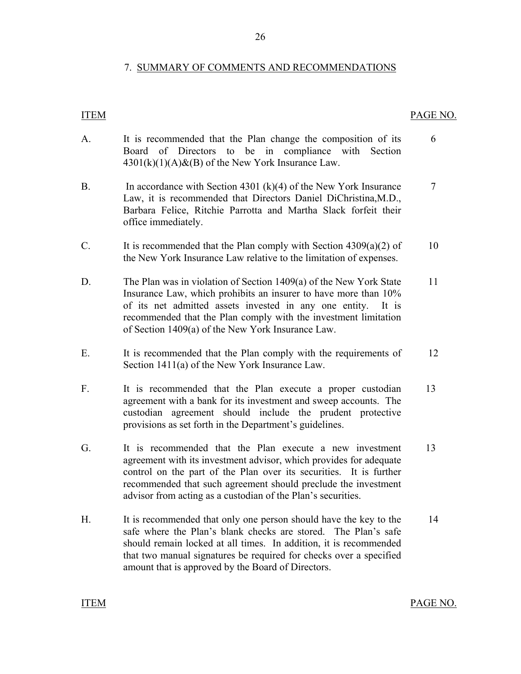#### 7. SUMMARY OF COMMENTS AND RECOMMENDATIONS

26

#### <span id="page-27-0"></span>**ITEM**

#### PAGE NO.

7

- A. It is recommended that the Plan change the composition of its Board of Directors to be in compliance with Section  $4301(k)(1)(A)$ &(B) of the New York Insurance Law. 6
- B. In accordance with Section 4301 (k)(4) of the New York Insurance Law, it is recommended that Directors Daniel DiChristina,M.D., Barbara Felice, Ritchie Parrotta and Martha Slack forfeit their office immediately.
- C. It is recommended that the Plan comply with Section  $4309(a)(2)$  of the New York Insurance Law relative to the limitation of expenses. 10
- D. The Plan was in violation of Section 1409(a) of the New York State Insurance Law, which prohibits an insurer to have more than 10% of its net admitted assets invested in any one entity. It is recommended that the Plan comply with the investment limitation of Section 1409(a) of the New York Insurance Law. 11
- E. It is recommended that the Plan comply with the requirements of Section 1411(a) of the New York Insurance Law. 12
- F. It is recommended that the Plan execute a proper custodian agreement with a bank for its investment and sweep accounts. The custodian agreement should include the prudent protective provisions as set forth in the Department's guidelines. 13
- G. It is recommended that the Plan execute a new investment agreement with its investment advisor, which provides for adequate control on the part of the Plan over its securities. It is further recommended that such agreement should preclude the investment advisor from acting as a custodian of the Plan's securities. 13
- H. It is recommended that only one person should have the key to the safe where the Plan's blank checks are stored. The Plan's safe should remain locked at all times. In addition, it is recommended that two manual signatures be required for checks over a specified amount that is approved by the Board of Directors. 14

**ITEM** 

PAGE NO.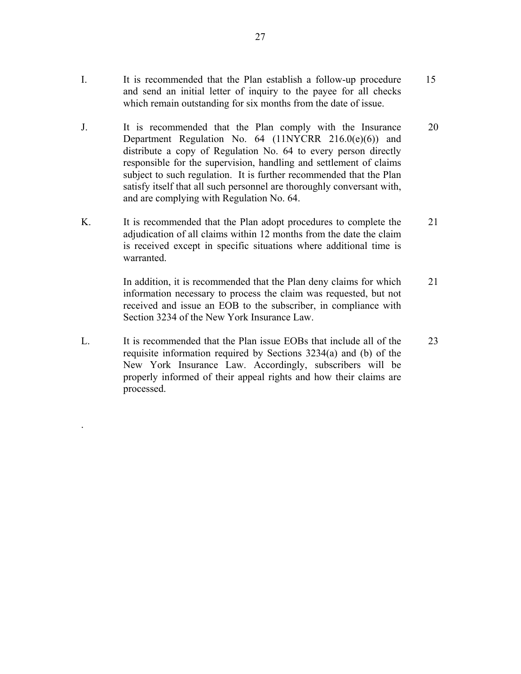- I. It is recommended that the Plan establish a follow-up procedure 15 and send an initial letter of inquiry to the payee for all checks which remain outstanding for six months from the date of issue.
- J. It is recommended that the Plan comply with the Insurance 20 Department Regulation No. 64 (11NYCRR 216.0(e)(6)) and distribute a copy of Regulation No. 64 to every person directly responsible for the supervision, handling and settlement of claims subject to such regulation. It is further recommended that the Plan satisfy itself that all such personnel are thoroughly conversant with, and are complying with Regulation No. 64.
- K. It is recommended that the Plan adopt procedures to complete the 21 adjudication of all claims within 12 months from the date the claim is received except in specific situations where additional time is warranted.

In addition, it is recommended that the Plan deny claims for which 21 information necessary to process the claim was requested, but not received and issue an EOB to the subscriber, in compliance with Section 3234 of the New York Insurance Law.

L. It is recommended that the Plan issue EOBs that include all of the 23 requisite information required by Sections 3234(a) and (b) of the New York Insurance Law. Accordingly, subscribers will be properly informed of their appeal rights and how their claims are processed.

.